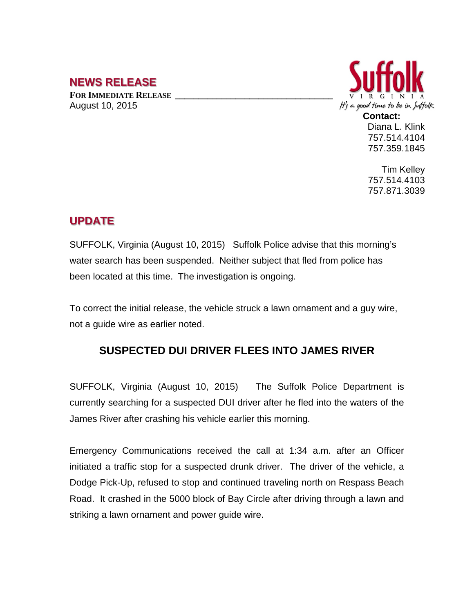## **NEWS RELEASE**

**FOR IMMEDIATE RELEASE \_\_\_\_\_\_\_\_\_\_\_\_\_\_\_\_\_\_\_\_\_\_\_\_\_\_\_\_\_\_\_\_\_\_** August 10, 2015



Diana L. Klink 757.514.4104 757.359.1845

Tim Kelley 757.514.4103 757.871.3039

## **UPDATE**

SUFFOLK, Virginia (August 10, 2015) Suffolk Police advise that this morning's water search has been suspended. Neither subject that fled from police has been located at this time. The investigation is ongoing.

To correct the initial release, the vehicle struck a lawn ornament and a guy wire, not a guide wire as earlier noted.

## **SUSPECTED DUI DRIVER FLEES INTO JAMES RIVER**

SUFFOLK, Virginia (August 10, 2015) The Suffolk Police Department is currently searching for a suspected DUI driver after he fled into the waters of the James River after crashing his vehicle earlier this morning.

Emergency Communications received the call at 1:34 a.m. after an Officer initiated a traffic stop for a suspected drunk driver. The driver of the vehicle, a Dodge Pick-Up, refused to stop and continued traveling north on Respass Beach Road. It crashed in the 5000 block of Bay Circle after driving through a lawn and striking a lawn ornament and power guide wire.